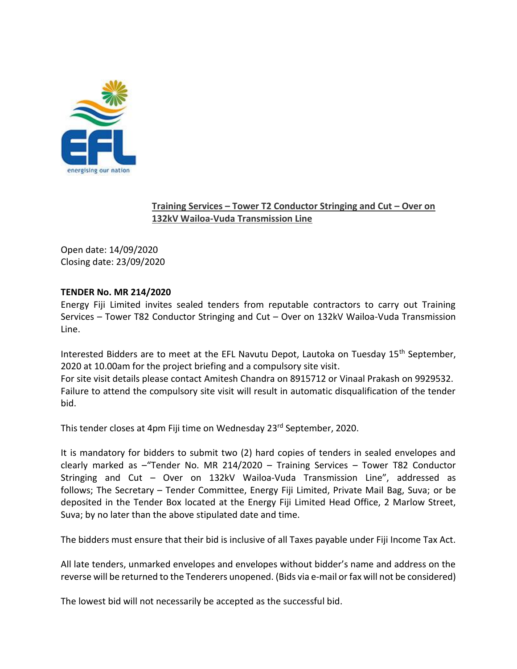

## **Training Services – Tower T2 Conductor Stringing and Cut – Over on 132kV Wailoa-Vuda Transmission Line**

Open date: 14/09/2020 Closing date: 23/09/2020

## **TENDER No. MR 214/2020**

Energy Fiji Limited invites sealed tenders from reputable contractors to carry out Training Services – Tower T82 Conductor Stringing and Cut – Over on 132kV Wailoa-Vuda Transmission Line.

Interested Bidders are to meet at the EFL Navutu Depot, Lautoka on Tuesday  $15<sup>th</sup>$  September, 2020 at 10.00am for the project briefing and a compulsory site visit. For site visit details please contact Amitesh Chandra on 8915712 or Vinaal Prakash on 9929532. Failure to attend the compulsory site visit will result in automatic disqualification of the tender bid.

This tender closes at 4pm Fiji time on Wednesday 23rd September, 2020.

It is mandatory for bidders to submit two (2) hard copies of tenders in sealed envelopes and clearly marked as –"Tender No. MR 214/2020 – Training Services – Tower T82 Conductor Stringing and Cut – Over on 132kV Wailoa-Vuda Transmission Line", addressed as follows; The Secretary – Tender Committee, Energy Fiji Limited, Private Mail Bag, Suva; or be deposited in the Tender Box located at the Energy Fiji Limited Head Office, 2 Marlow Street, Suva; by no later than the above stipulated date and time.

The bidders must ensure that their bid is inclusive of all Taxes payable under Fiji Income Tax Act.

All late tenders, unmarked envelopes and envelopes without bidder's name and address on the reverse will be returned to the Tenderers unopened. (Bids via e-mail or fax will not be considered)

The lowest bid will not necessarily be accepted as the successful bid.